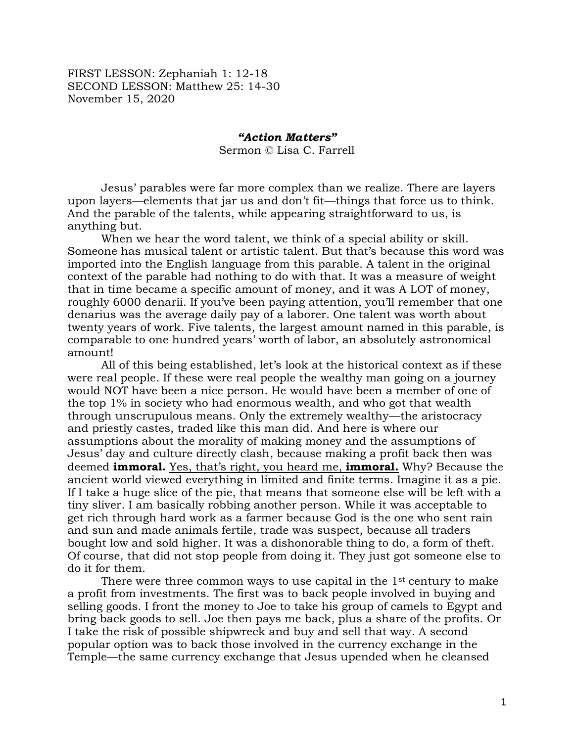FIRST LESSON: Zephaniah 1: 12-18 SECOND LESSON: Matthew 25: 14-30 November 15, 2020

## *"Action Matters"* Sermon © Lisa C. Farrell

Jesus' parables were far more complex than we realize. There are layers upon layers—elements that jar us and don't fit—things that force us to think. And the parable of the talents, while appearing straightforward to us, is anything but.

When we hear the word talent, we think of a special ability or skill. Someone has musical talent or artistic talent. But that's because this word was imported into the English language from this parable. A talent in the original context of the parable had nothing to do with that. It was a measure of weight that in time became a specific amount of money, and it was A LOT of money, roughly 6000 denarii. If you've been paying attention, you'll remember that one denarius was the average daily pay of a laborer. One talent was worth about twenty years of work. Five talents, the largest amount named in this parable, is comparable to one hundred years' worth of labor, an absolutely astronomical amount!

All of this being established, let's look at the historical context as if these were real people. If these were real people the wealthy man going on a journey would NOT have been a nice person. He would have been a member of one of the top 1% in society who had enormous wealth, and who got that wealth through unscrupulous means. Only the extremely wealthy—the aristocracy and priestly castes, traded like this man did. And here is where our assumptions about the morality of making money and the assumptions of Jesus' day and culture directly clash, because making a profit back then was deemed **immoral.** Yes, that's right, you heard me, **immoral.** Why? Because the ancient world viewed everything in limited and finite terms. Imagine it as a pie. If I take a huge slice of the pie, that means that someone else will be left with a tiny sliver. I am basically robbing another person. While it was acceptable to get rich through hard work as a farmer because God is the one who sent rain and sun and made animals fertile, trade was suspect, because all traders bought low and sold higher. It was a dishonorable thing to do, a form of theft. Of course, that did not stop people from doing it. They just got someone else to do it for them.

There were three common ways to use capital in the 1<sup>st</sup> century to make a profit from investments. The first was to back people involved in buying and selling goods. I front the money to Joe to take his group of camels to Egypt and bring back goods to sell. Joe then pays me back, plus a share of the profits. Or I take the risk of possible shipwreck and buy and sell that way. A second popular option was to back those involved in the currency exchange in the Temple—the same currency exchange that Jesus upended when he cleansed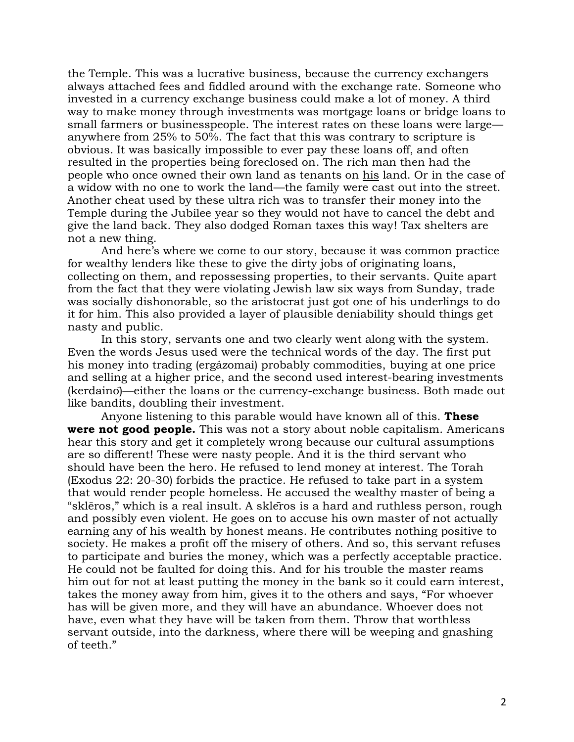the Temple. This was a lucrative business, because the currency exchangers always attached fees and fiddled around with the exchange rate. Someone who invested in a currency exchange business could make a lot of money. A third way to make money through investments was mortgage loans or bridge loans to small farmers or businesspeople. The interest rates on these loans were large anywhere from 25% to 50%. The fact that this was contrary to scripture is obvious. It was basically impossible to ever pay these loans off, and often resulted in the properties being foreclosed on. The rich man then had the people who once owned their own land as tenants on his land. Or in the case of a widow with no one to work the land—the family were cast out into the street. Another cheat used by these ultra rich was to transfer their money into the Temple during the Jubilee year so they would not have to cancel the debt and give the land back. They also dodged Roman taxes this way! Tax shelters are not a new thing.

And here's where we come to our story, because it was common practice for wealthy lenders like these to give the dirty jobs of originating loans, collecting on them, and repossessing properties, to their servants. Quite apart from the fact that they were violating Jewish law six ways from Sunday, trade was socially dishonorable, so the aristocrat just got one of his underlings to do it for him. This also provided a layer of plausible deniability should things get nasty and public.

In this story, servants one and two clearly went along with the system. Even the words Jesus used were the technical words of the day. The first put his money into trading (ergázomai) probably commodities, buying at one price and selling at a higher price, and the second used interest-bearing investments (kerdaino)—either the loans or the currency-exchange business. Both made out like bandits, doubling their investment.

Anyone listening to this parable would have known all of this. **These were not good people.** This was not a story about noble capitalism. Americans hear this story and get it completely wrong because our cultural assumptions are so different! These were nasty people. And it is the third servant who should have been the hero. He refused to lend money at interest. The Torah (Exodus 22: 20-30) forbids the practice. He refused to take part in a system that would render people homeless. He accused the wealthy master of being a "sklēros," which is a real insult. A sklēros is a hard and ruthless person, rough and possibly even violent. He goes on to accuse his own master of not actually earning any of his wealth by honest means. He contributes nothing positive to society. He makes a profit off the misery of others. And so, this servant refuses to participate and buries the money, which was a perfectly acceptable practice. He could not be faulted for doing this. And for his trouble the master reams him out for not at least putting the money in the bank so it could earn interest, takes the money away from him, gives it to the others and says, "For whoever has will be given more, and they will have an abundance. Whoever does not have, even what they have will be taken from them. Throw that worthless servant outside, into the darkness, where there will be weeping and gnashing of teeth."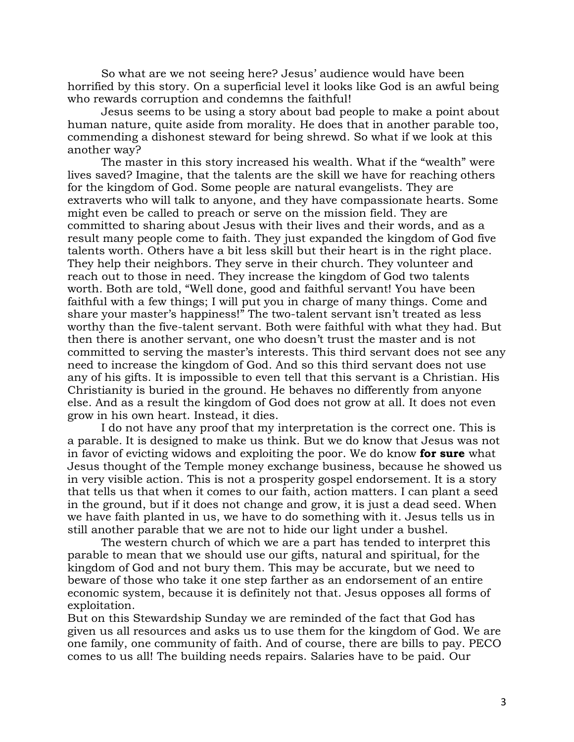So what are we not seeing here? Jesus' audience would have been horrified by this story. On a superficial level it looks like God is an awful being who rewards corruption and condemns the faithful!

Jesus seems to be using a story about bad people to make a point about human nature, quite aside from morality. He does that in another parable too, commending a dishonest steward for being shrewd. So what if we look at this another way?

The master in this story increased his wealth. What if the "wealth" were lives saved? Imagine, that the talents are the skill we have for reaching others for the kingdom of God. Some people are natural evangelists. They are extraverts who will talk to anyone, and they have compassionate hearts. Some might even be called to preach or serve on the mission field. They are committed to sharing about Jesus with their lives and their words, and as a result many people come to faith. They just expanded the kingdom of God five talents worth. Others have a bit less skill but their heart is in the right place. They help their neighbors. They serve in their church. They volunteer and reach out to those in need. They increase the kingdom of God two talents worth. Both are told, "Well done, good and faithful servant! You have been faithful with a few things; I will put you in charge of many things. Come and share your master's happiness!" The two-talent servant isn't treated as less worthy than the five-talent servant. Both were faithful with what they had. But then there is another servant, one who doesn't trust the master and is not committed to serving the master's interests. This third servant does not see any need to increase the kingdom of God. And so this third servant does not use any of his gifts. It is impossible to even tell that this servant is a Christian. His Christianity is buried in the ground. He behaves no differently from anyone else. And as a result the kingdom of God does not grow at all. It does not even grow in his own heart. Instead, it dies.

I do not have any proof that my interpretation is the correct one. This is a parable. It is designed to make us think. But we do know that Jesus was not in favor of evicting widows and exploiting the poor. We do know **for sure** what Jesus thought of the Temple money exchange business, because he showed us in very visible action. This is not a prosperity gospel endorsement. It is a story that tells us that when it comes to our faith, action matters. I can plant a seed in the ground, but if it does not change and grow, it is just a dead seed. When we have faith planted in us, we have to do something with it. Jesus tells us in still another parable that we are not to hide our light under a bushel.

The western church of which we are a part has tended to interpret this parable to mean that we should use our gifts, natural and spiritual, for the kingdom of God and not bury them. This may be accurate, but we need to beware of those who take it one step farther as an endorsement of an entire economic system, because it is definitely not that. Jesus opposes all forms of exploitation.

But on this Stewardship Sunday we are reminded of the fact that God has given us all resources and asks us to use them for the kingdom of God. We are one family, one community of faith. And of course, there are bills to pay. PECO comes to us all! The building needs repairs. Salaries have to be paid. Our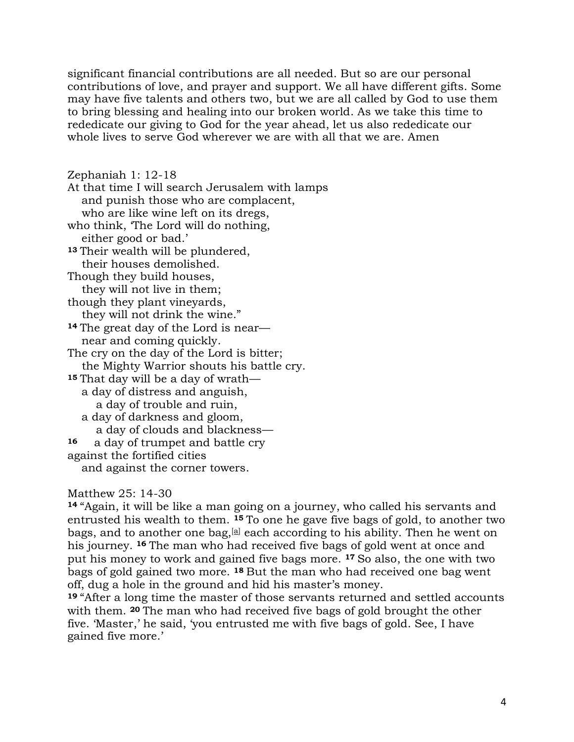significant financial contributions are all needed. But so are our personal contributions of love, and prayer and support. We all have different gifts. Some may have five talents and others two, but we are all called by God to use them to bring blessing and healing into our broken world. As we take this time to rededicate our giving to God for the year ahead, let us also rededicate our whole lives to serve God wherever we are with all that we are. Amen

Zephaniah 1: 12-18 At that time I will search Jerusalem with lamps and punish those who are complacent, who are like wine left on its dregs, who think, 'The Lord will do nothing, either good or bad.' **<sup>13</sup>** Their wealth will be plundered, their houses demolished. Though they build houses, they will not live in them; though they plant vineyards, they will not drink the wine." **<sup>14</sup>** The great day of the Lord is near near and coming quickly. The cry on the day of the Lord is bitter; the Mighty Warrior shouts his battle cry. **<sup>15</sup>** That day will be a day of wrath a day of distress and anguish, a day of trouble and ruin, a day of darkness and gloom, a day of clouds and blackness— **<sup>16</sup>** a day of trumpet and battle cry against the fortified cities and against the corner towers.

## Matthew 25: 14-30

**<sup>14</sup>** "Again, it will be like a man going on a journey, who called his servants and entrusted his wealth to them. **<sup>15</sup>** To one he gave five bags of gold, to another two bags, and to another one bag,  $[a]$  each according to his ability. Then he went on his journey. **<sup>16</sup>** The man who had received five bags of gold went at once and put his money to work and gained five bags more. **<sup>17</sup>** So also, the one with two bags of gold gained two more. **<sup>18</sup>** But the man who had received one bag went off, dug a hole in the ground and hid his master's money.

**<sup>19</sup>** "After a long time the master of those servants returned and settled accounts with them. **<sup>20</sup>** The man who had received five bags of gold brought the other five. 'Master,' he said, 'you entrusted me with five bags of gold. See, I have gained five more.'